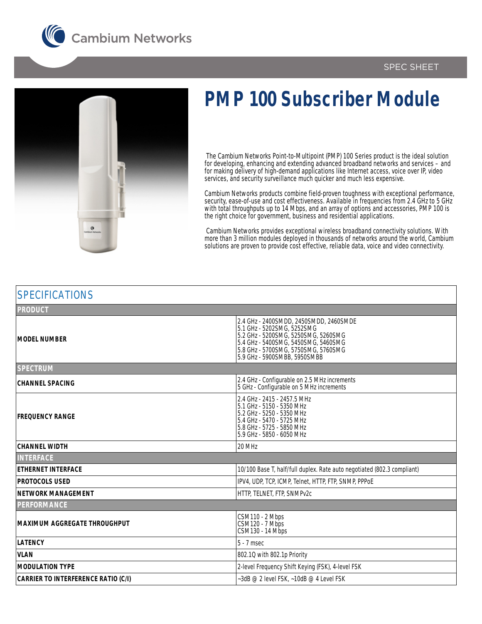





## **PMP 100 Subscriber Module**

 The Cambium Networks Point-to-Multipoint (PMP) 100 Series product is the ideal solution for developing, enhancing and extending advanced broadband networks and services – and for making delivery of high-demand applications like Internet access, voice over IP, video services, and security surveillance much quicker and much less expensive.

Cambium Networks products combine field-proven toughness with exceptional performance, security, ease-of-use and cost effectiveness. Available in frequencies from 2.4 GHz to 5 GHz with total throughputs up to 14 Mbps, and an array of options and accessories, PMP 100 is the right choice for government, business and residential applications.

 Cambium Networks provides exceptional wireless broadband connectivity solutions. With more than 3 million modules deployed in thousands of networks around the world, Cambium solutions are proven to provide cost effective, reliable data, voice and video connectivity.

| <b>SPECIFICATIONS</b>                      |                                                                                                                                                                                                                           |
|--------------------------------------------|---------------------------------------------------------------------------------------------------------------------------------------------------------------------------------------------------------------------------|
| <b>PRODUCT</b>                             |                                                                                                                                                                                                                           |
| <b>MODEL NUMBER</b>                        | 2.4 GHz - 2400SMDD, 2450SMDD, 2460SMDE<br>5.1 GHz - 5202SMG, 5252SMG<br>5.2 GHz - 5200SMG, 5250SMG, 5260SMG<br>5.4 GHz - 5400SMG, 5450SMG, 5460SMG<br>5.8 GHz - 5700SMG, 5750SMG, 5760SMG<br>5.9 GHz - 5900SMBB, 5950SMBB |
| <b>SPECTRUM</b>                            |                                                                                                                                                                                                                           |
| <b>CHANNEL SPACING</b>                     | 2.4 GHz - Configurable on 2.5 MHz increments<br>5 GHz - Configurable on 5 MHz increments                                                                                                                                  |
| <b>FREQUENCY RANGE</b>                     | 2.4 GHz - 2415 - 2457.5 MHz<br>5.1 GHz - 5150 - 5350 MHz<br>5.2 GHz - 5250 - 5350 MHz<br>5.4 GHz - 5470 - 5725 MHz<br>5.8 GHz - 5725 - 5850 MHz<br>5.9 GHz - 5850 - 6050 MHz                                              |
| <b>CHANNEL WIDTH</b>                       | 20 MHz                                                                                                                                                                                                                    |
| <b>INTERFACE</b>                           |                                                                                                                                                                                                                           |
| <b>ETHERNET INTERFACE</b>                  | 10/100 Base T, half/full duplex. Rate auto negotiated (802.3 compliant)                                                                                                                                                   |
| <b>PROTOCOLS USED</b>                      | IPV4, UDP, TCP, ICMP, Telnet, HTTP, FTP, SNMP, PPPOE                                                                                                                                                                      |
| <b>NETWORK MANAGEMENT</b>                  | HTTP, TELNET, FTP, SNMPv2c                                                                                                                                                                                                |
| <b>PERFORMANCE</b>                         |                                                                                                                                                                                                                           |
| <b>MAXIMUM AGGREGATE THROUGHPUT</b>        | CSM110 - 2 Mbps<br>CSM120 - 7 Mbps<br>CSM130 - 14 Mbps                                                                                                                                                                    |
| <b>LATENCY</b>                             | $5 - 7$ msec                                                                                                                                                                                                              |
| <b>VLAN</b>                                | 802.10 with 802.1p Priority                                                                                                                                                                                               |
| <b>MODULATION TYPE</b>                     | 2-level Frequency Shift Keying (FSK), 4-level FSK                                                                                                                                                                         |
| <b>CARRIER TO INTERFERENCE RATIO (C/I)</b> | ~3dB @ 2 level FSK, ~10dB @ 4 Level FSK                                                                                                                                                                                   |
|                                            |                                                                                                                                                                                                                           |